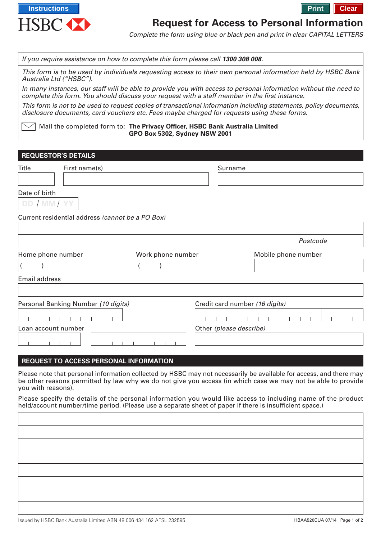

# **Request for Access to Personal Information**

Complete the form using blue or black pen and print in clear CAPITAL LETTERS

If you require assistance on how to complete this form please call **1300 308 008**.

This form is to be used by individuals requesting access to their own personal information held by HSBC Bank Australia Ltd ("HSBC").

In many instances, our staff will be able to provide you with access to personal information without the need to complete this form. You should discuss your request with a staff member in the first instance.

This form is not to be used to request copies of transactional information including statements, policy documents, disclosure documents, card vouchers etc. Fees maybe charged for requests using these forms.

Mail the completed form to: **The Privacy Officer, HSBC Bank Australia Limited GPO Box 5302, Sydney NSW 2001**

### **REQUESTOR'S DETAILS**

| <b>Title</b><br>First name(s)                    |                         | Surname                        |  |  |  |
|--------------------------------------------------|-------------------------|--------------------------------|--|--|--|
|                                                  |                         |                                |  |  |  |
| Date of birth                                    |                         |                                |  |  |  |
| DD / MM/YY                                       |                         |                                |  |  |  |
| Current residential address (cannot be a PO Box) |                         |                                |  |  |  |
|                                                  |                         |                                |  |  |  |
|                                                  |                         | Postcode                       |  |  |  |
| Home phone number                                | Work phone number       | Mobile phone number            |  |  |  |
|                                                  |                         |                                |  |  |  |
| Email address                                    |                         |                                |  |  |  |
|                                                  |                         |                                |  |  |  |
| Personal Banking Number (10 digits)              |                         | Credit card number (16 digits) |  |  |  |
|                                                  |                         |                                |  |  |  |
| Loan account number                              | Other (please describe) |                                |  |  |  |
|                                                  |                         |                                |  |  |  |

### **REQUEST TO ACCESS PERSONAL INFORMATION**

Please note that personal information collected by HSBC may not necessarily be available for access, and there may be other reasons permitted by law why we do not give you access (in which case we may not be able to provide you with reasons).

Please specify the details of the personal information you would like access to including name of the product held/account number/time period. (Please use a separate sheet of paper if there is insufficient space.)